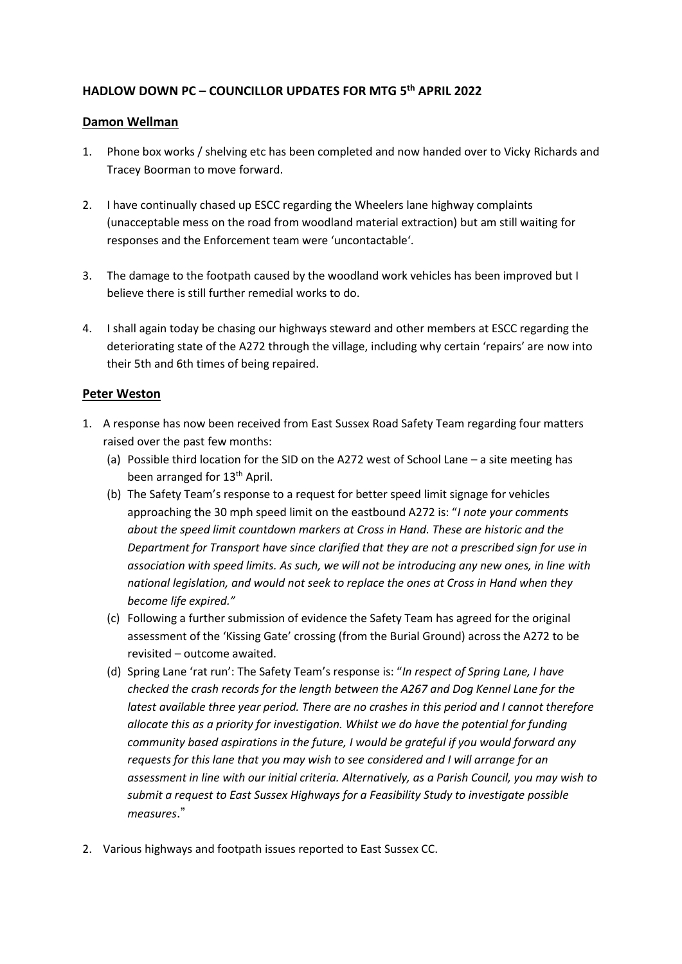## **HADLOW DOWN PC – COUNCILLOR UPDATES FOR MTG 5 th APRIL 2022**

## **Damon Wellman**

- 1. Phone box works / shelving etc has been completed and now handed over to Vicky Richards and Tracey Boorman to move forward.
- 2. I have continually chased up ESCC regarding the Wheelers lane highway complaints (unacceptable mess on the road from woodland material extraction) but am still waiting for responses and the Enforcement team were 'uncontactable'.
- 3. The damage to the footpath caused by the woodland work vehicles has been improved but I believe there is still further remedial works to do.
- 4. I shall again today be chasing our highways steward and other members at ESCC regarding the deteriorating state of the A272 through the village, including why certain 'repairs' are now into their 5th and 6th times of being repaired.

## **Peter Weston**

- 1. A response has now been received from East Sussex Road Safety Team regarding four matters raised over the past few months:
	- (a) Possible third location for the SID on the A272 west of School Lane a site meeting has been arranged for 13<sup>th</sup> April.
	- (b) The Safety Team's response to a request for better speed limit signage for vehicles approaching the 30 mph speed limit on the eastbound A272 is: "*I note your comments about the speed limit countdown markers at Cross in Hand. These are historic and the Department for Transport have since clarified that they are not a prescribed sign for use in association with speed limits. As such, we will not be introducing any new ones, in line with national legislation, and would not seek to replace the ones at Cross in Hand when they become life expired."*
	- (c) Following a further submission of evidence the Safety Team has agreed for the original assessment of the 'Kissing Gate' crossing (from the Burial Ground) across the A272 to be revisited – outcome awaited.
	- (d) Spring Lane 'rat run': The Safety Team's response is: "*In respect of Spring Lane, I have checked the crash records for the length between the A267 and Dog Kennel Lane for the latest available three year period. There are no crashes in this period and I cannot therefore allocate this as a priority for investigation. Whilst we do have the potential for funding community based aspirations in the future, I would be grateful if you would forward any requests for this lane that you may wish to see considered and I will arrange for an assessment in line with our initial criteria. Alternatively, as a Parish Council, you may wish to submit a request to East Sussex Highways for a Feasibility Study to investigate possible measures*."
- 2. Various highways and footpath issues reported to East Sussex CC.